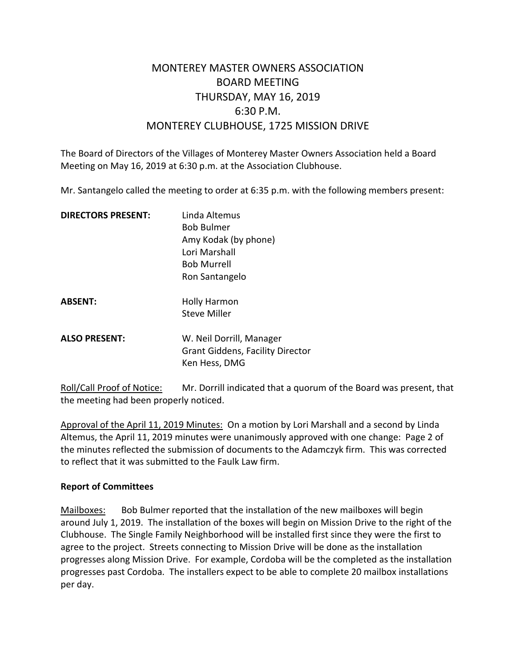# MONTEREY MASTER OWNERS ASSOCIATION BOARD MEETING THURSDAY, MAY 16, 2019 6:30 P.M. MONTEREY CLUBHOUSE, 1725 MISSION DRIVE

The Board of Directors of the Villages of Monterey Master Owners Association held a Board Meeting on May 16, 2019 at 6:30 p.m. at the Association Clubhouse.

Mr. Santangelo called the meeting to order at 6:35 p.m. with the following members present:

| <b>DIRECTORS PRESENT:</b> | Linda Altemus                                                                        |
|---------------------------|--------------------------------------------------------------------------------------|
|                           | <b>Bob Bulmer</b>                                                                    |
|                           | Amy Kodak (by phone)                                                                 |
|                           | Lori Marshall                                                                        |
|                           | <b>Bob Murrell</b>                                                                   |
|                           | Ron Santangelo                                                                       |
| <b>ABSENT:</b>            | <b>Holly Harmon</b>                                                                  |
|                           | Steve Miller                                                                         |
| <b>ALSO PRESENT:</b>      | W. Neil Dorrill, Manager<br><b>Grant Giddens, Facility Director</b><br>Ken Hess, DMG |
|                           |                                                                                      |

Roll/Call Proof of Notice: Mr. Dorrill indicated that a quorum of the Board was present, that the meeting had been properly noticed.

Approval of the April 11, 2019 Minutes: On a motion by Lori Marshall and a second by Linda Altemus, the April 11, 2019 minutes were unanimously approved with one change: Page 2 of the minutes reflected the submission of documents to the Adamczyk firm. This was corrected to reflect that it was submitted to the Faulk Law firm.

### **Report of Committees**

Mailboxes: Bob Bulmer reported that the installation of the new mailboxes will begin around July 1, 2019. The installation of the boxes will begin on Mission Drive to the right of the Clubhouse. The Single Family Neighborhood will be installed first since they were the first to agree to the project. Streets connecting to Mission Drive will be done as the installation progresses along Mission Drive. For example, Cordoba will be the completed as the installation progresses past Cordoba. The installers expect to be able to complete 20 mailbox installations per day.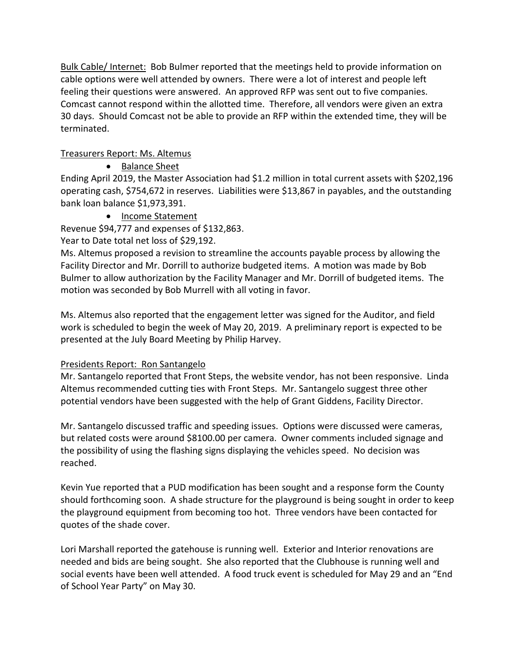Bulk Cable/ Internet: Bob Bulmer reported that the meetings held to provide information on cable options were well attended by owners. There were a lot of interest and people left feeling their questions were answered. An approved RFP was sent out to five companies. Comcast cannot respond within the allotted time. Therefore, all vendors were given an extra 30 days. Should Comcast not be able to provide an RFP within the extended time, they will be terminated.

### Treasurers Report: Ms. Altemus

• Balance Sheet

Ending April 2019, the Master Association had \$1.2 million in total current assets with \$202,196 operating cash, \$754,672 in reserves. Liabilities were \$13,867 in payables, and the outstanding bank loan balance \$1,973,391.

• Income Statement

Revenue \$94,777 and expenses of \$132,863.

Year to Date total net loss of \$29,192.

Ms. Altemus proposed a revision to streamline the accounts payable process by allowing the Facility Director and Mr. Dorrill to authorize budgeted items. A motion was made by Bob Bulmer to allow authorization by the Facility Manager and Mr. Dorrill of budgeted items. The motion was seconded by Bob Murrell with all voting in favor.

Ms. Altemus also reported that the engagement letter was signed for the Auditor, and field work is scheduled to begin the week of May 20, 2019. A preliminary report is expected to be presented at the July Board Meeting by Philip Harvey.

## Presidents Report: Ron Santangelo

Mr. Santangelo reported that Front Steps, the website vendor, has not been responsive. Linda Altemus recommended cutting ties with Front Steps. Mr. Santangelo suggest three other potential vendors have been suggested with the help of Grant Giddens, Facility Director.

Mr. Santangelo discussed traffic and speeding issues. Options were discussed were cameras, but related costs were around \$8100.00 per camera. Owner comments included signage and the possibility of using the flashing signs displaying the vehicles speed. No decision was reached.

Kevin Yue reported that a PUD modification has been sought and a response form the County should forthcoming soon. A shade structure for the playground is being sought in order to keep the playground equipment from becoming too hot. Three vendors have been contacted for quotes of the shade cover.

Lori Marshall reported the gatehouse is running well. Exterior and Interior renovations are needed and bids are being sought. She also reported that the Clubhouse is running well and social events have been well attended. A food truck event is scheduled for May 29 and an "End of School Year Party" on May 30.